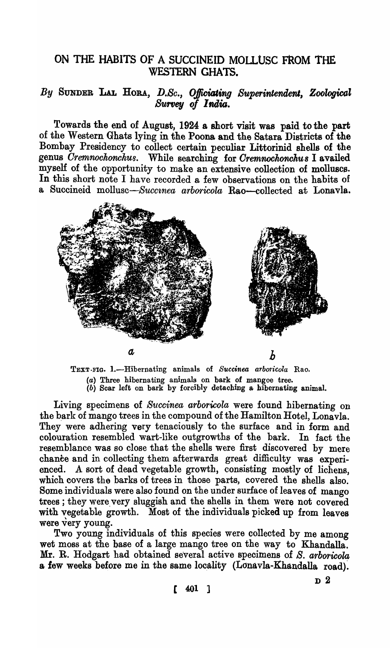## ON THE HABITS OF A SUCCINEID MOLLUSC FROM THE WESTERN GHATS.

## By SUNDER LAL HORA, D.Sc., Officiating Superintendent, Zoological Survey of India.

Towards the end of August, 1924 a short visit was paid to the part of the Western Ghats lying in the POOM and the Satara Districts of the Bombay Presidency to collect certain peculiar Littorinid shells of the genus *Cremnochonchus*. While searching for *Cremnochonchus* I availed myself of the opportunity to make an extensive collection of molluscs. In this short note I have recorded a few observations on the habits of a Succineid mollusc—Succinea arboricola Rao—collected at Lonavla.



TEXT-FIG. 1.-Hibernating animals of Succinea arboricola Rao. (a) Three hibernating animals on bark of mangoe tree. (b) Soar left on bark by foroibly detaohing a hibernating animal.

Living specimens of *Succinea arboricola* were found hibernating on the bark of mango trees in the compound of the Hamilton Hotel, Lonavla. They were adhering very tenaciously to the surface and in form and colouration resembled wart-like outgrowths of the bark. In fact the resemblance was so close that the shells were first discovered by mere chance and in collecting them afterwards great difficulty was experienced. A sort of dead vegetable growth, consisting mostly of lichens, which covers the barks of trees in those parts, covered the shells also. Some individuals were also found on the under surface of leaves of mango trees; they were very sluggish and the shells in them were not covered with vegetable growth. Most of the individuals picked up from leaves were very young.

Two young individuals of this species were collected by me among wet moss at the base of a large mango tree on the way to Khandalla. Mr. R. Hodgart had obtained several active specimens of *S. arboricola* a, few weeks before me in the same locality (Lonavla-Khandalla road).

D2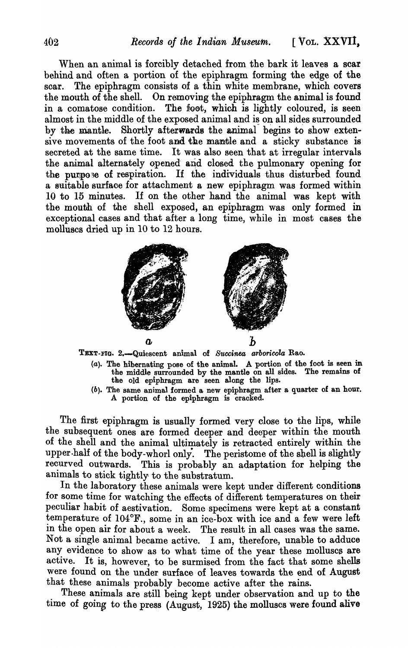When an animal is forcibly detached from the bark it leaves a scar behind and often a portion of the epiphragm forming the edge of the scar. The epiphragm consists of a thin white membrane, which covers the mouth of the shell. On removing the epiphragm the animal is found in a comatose condition. The foot, which is lightly coloured, is seen almost in the middle of the exposed animal and is on all sides surrounded by the mantle. Shortly afterwards the animal begins to show extensive movements of the foot and the mantle and a sticky substance is secreted at the same time. It was also seen that at irregular intervals the animal alternately opened and closed the pulmonary opening for the purpose of respiration. If the individuals thus disturbed found a suitable surfaoe for attachment a new epiphragm was formed within 10 to 15 minutes. If on the other hand the animal was kept with the mouth of the shell exposed, an epiphragm was only formed in exceptional cases and that after a long time, while in most cases the molluscs dried up in 10 to 12 hours.



TEXT-FIG. 2.-Quiescent animal of *S'ltccinea arborioola* Rao.

- (a). The hibernating pose of the animal. A portion of the foot is seen in the middle surrounded by the mantle on all sides. The remains of the old epiphragm are seen along the lips.
- (b). The same animal formed a. new epipbragm after a quarter of an hour. A portion of the epiphragm is cracked.

The first epiphragm is usually formed very close to the lips, while the subsequent ones are formed deeper and deeper within the mouth of the shell and the animal ultimately is retracted entirely within the upper.half of the body-whorl only. The peristome of the shell is slightly recurved outwards. This is probably an adaptation for helping the animals to stick tightly to the substratum.

In the laboratory these animals were kept under different conditions for some time for watching the effects of different temperatures on their peculiar habit of aestivation. Some specimens were kept at a constant temperature of 104°F., some in an ice-box with ice and a few were left in the open air for about a week. The result in all cases was the same. Not a single animal became active. I am, therefore, unable to adduce any evidence to show as to what time of the year these molluscs are active. It is, however, to be surmised from the fact that some shells were found on the under surface of leaves towards the end of August that these animals probably become active after the rains.

These animals are still being kept under observation and up to the time of going to the press (August,  $1925$ ) the molluscs were found alive